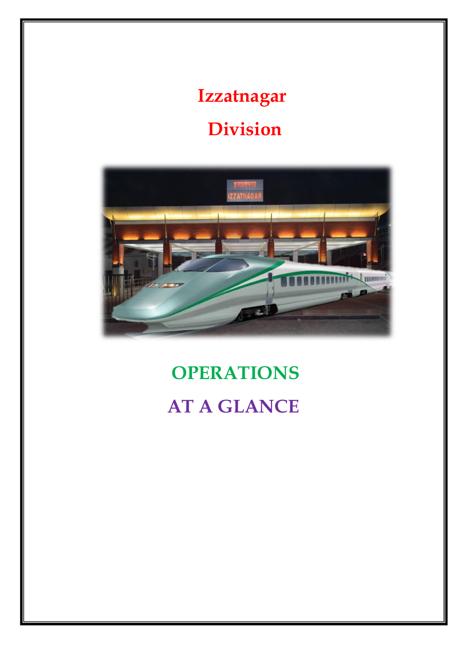# **Izzatnagar Division**



# **OPERATIONS AT A GLANCE**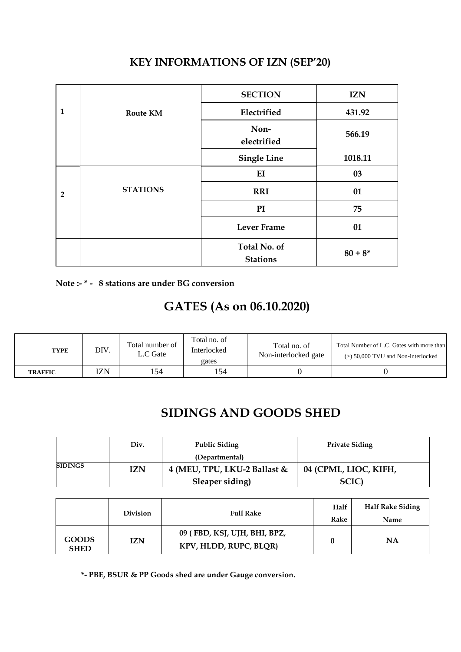|                |                 | <b>SECTION</b>                         | <b>IZN</b> |
|----------------|-----------------|----------------------------------------|------------|
| $\mathbf{1}$   | <b>Route KM</b> | Electrified                            | 431.92     |
|                |                 | Non-<br>electrified                    | 566.19     |
|                |                 | <b>Single Line</b>                     | 1018.11    |
|                |                 | EI                                     | 03         |
| $\overline{2}$ | <b>STATIONS</b> | <b>RRI</b>                             | 01         |
|                |                 | PI                                     | 75         |
|                |                 | <b>Lever Frame</b>                     | 01         |
|                |                 | <b>Total No. of</b><br><b>Stations</b> | $80 + 8*$  |

#### **KEY INFORMATIONS OF IZN (SEP'20)**

**Note :- \* - 8 stations are under BG conversion**

### **GATES (As on 06.10.2020)**

| <b>TYPE</b>    | DIV. | Total number of<br>$\mathcal{L}.\mathbf{C}$ Gate | Total no. of<br>Interlocked<br>gates | Total no. of<br>Non-interlocked gate | Total Number of L.C. Gates with more than<br>$(>) 50,000$ TVU and Non-interlocked |
|----------------|------|--------------------------------------------------|--------------------------------------|--------------------------------------|-----------------------------------------------------------------------------------|
| <b>TRAFFIC</b> | I7N  | 154                                              | 154                                  |                                      |                                                                                   |

#### **SIDINGS AND GOODS SHED**

|                | Div. | <b>Public Siding</b>         | <b>Private Siding</b> |
|----------------|------|------------------------------|-----------------------|
|                |      | (Departmental)               |                       |
| <b>SIDINGS</b> | IZN  | 4 (MEU, TPU, LKU-2 Ballast & | 04 (CPML, LIOC, KIFH, |
|                |      | Sleaper siding)              | SCIC                  |

|                             | <b>Division</b> | <b>Full Rake</b>                                       | Half<br>Rake | <b>Half Rake Siding</b><br>Name |
|-----------------------------|-----------------|--------------------------------------------------------|--------------|---------------------------------|
| <b>GOODS</b><br><b>SHED</b> | <b>IZN</b>      | 09 (FBD, KSJ, UJH, BHI, BPZ,<br>KPV, HLDD, RUPC, BLQR) |              | NΑ                              |

 **\*- PBE, BSUR & PP Goods shed are under Gauge conversion.**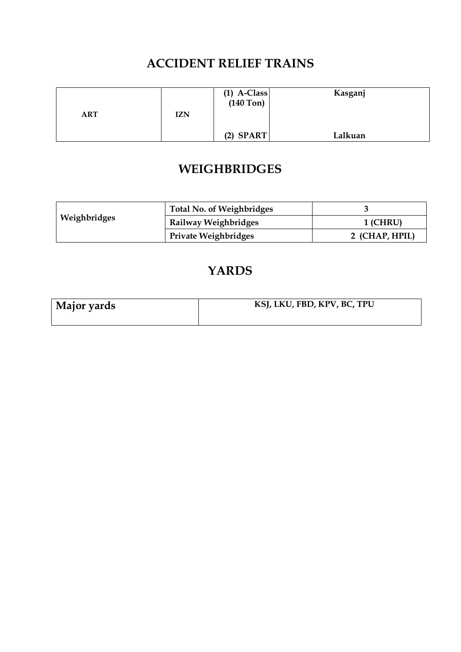#### **ACCIDENT RELIEF TRAINS**

|     |            | $(1)$ A-Class<br>$(140$ Ton) | Kasganj |
|-----|------------|------------------------------|---------|
| ART | <b>IZN</b> |                              |         |
|     |            | $(2)$ SPART                  | Lalkuan |

### **WEIGHBRIDGES**

|              | <b>Total No. of Weighbridges</b> |                |
|--------------|----------------------------------|----------------|
| Weighbridges | Railway Weighbridges             | 1 (CHRU)       |
|              | <b>Private Weighbridges</b>      | 2 (CHAP, HPIL) |

#### **YARDS**

| Major yards | KSJ, LKU, FBD, KPV, BC, TPU |
|-------------|-----------------------------|
|             |                             |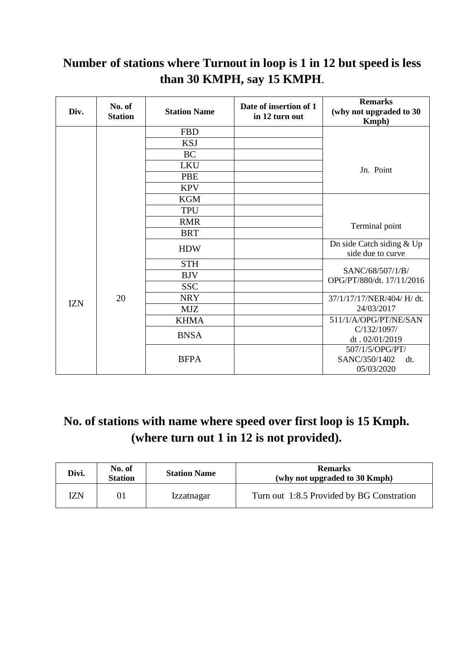#### **Number of stations where Turnout in loop is 1 in 12 but speed is less than 30 KMPH, say 15 KMPH**.

| Div.       | No. of<br><b>Station</b> | <b>Station Name</b> | Date of insertion of 1<br>in 12 turn out | <b>Remarks</b><br>(why not upgraded to 30<br>Kmph) |
|------------|--------------------------|---------------------|------------------------------------------|----------------------------------------------------|
|            |                          | <b>FBD</b>          |                                          |                                                    |
|            |                          | <b>KSJ</b>          |                                          |                                                    |
|            |                          | <b>BC</b>           |                                          |                                                    |
|            |                          | <b>LKU</b>          |                                          | Jn. Point                                          |
|            |                          | <b>PBE</b>          |                                          |                                                    |
|            |                          | <b>KPV</b>          |                                          |                                                    |
|            |                          | <b>KGM</b>          |                                          |                                                    |
|            |                          | <b>TPU</b>          |                                          |                                                    |
|            |                          | <b>RMR</b>          |                                          | Terminal point                                     |
|            |                          | <b>BRT</b>          |                                          |                                                    |
|            |                          | <b>HDW</b>          |                                          | Dn side Catch siding & Up<br>side due to curve     |
|            |                          | <b>STH</b>          |                                          |                                                    |
|            | 20                       | <b>BJV</b>          |                                          | SANC/68/507/1/B/<br>OPG/PT/880/dt. 17/11/2016      |
|            |                          | <b>SSC</b>          |                                          |                                                    |
| <b>IZN</b> |                          | <b>NRY</b>          |                                          | 37/1/17/17/NER/404/ H/ dt.                         |
|            |                          | <b>MJZ</b>          |                                          | 24/03/2017                                         |
|            |                          | <b>KHMA</b>         |                                          | 511/1/A/OPG/PT/NE/SAN                              |
|            |                          | <b>BNSA</b>         |                                          | C/132/1097/                                        |
|            |                          |                     |                                          | dt. 02/01/2019                                     |
|            |                          |                     |                                          | 507/1/5/OPG/PT/                                    |
|            |                          | <b>BFPA</b>         |                                          | SANC/350/1402<br>dt.<br>05/03/2020                 |
|            |                          |                     |                                          |                                                    |

### **No. of stations with name where speed over first loop is 15 Kmph. (where turn out 1 in 12 is not provided).**

| Divi. | No. of<br><b>Station</b> | <b>Station Name</b> | <b>Remarks</b><br>(why not upgraded to 30 Kmph) |
|-------|--------------------------|---------------------|-------------------------------------------------|
| ľΖN   |                          | <i>Izzatnagar</i>   | Turn out 1:8.5 Provided by BG Constration       |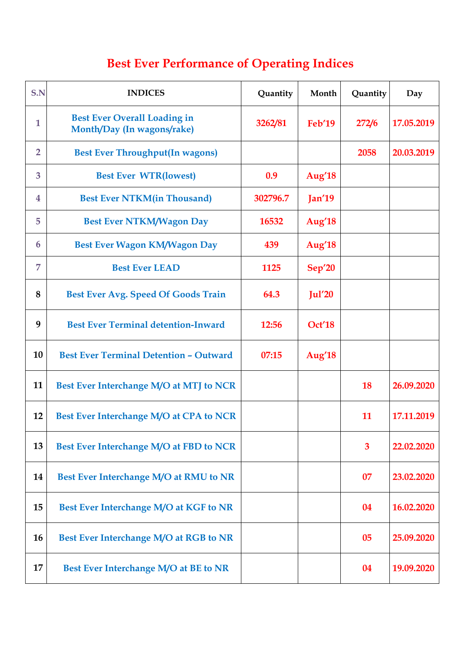# **Best Ever Performance of Operating Indices**

| S.N            | <b>INDICES</b>                                                    | Quantity | Month              | Quantity     | Day        |
|----------------|-------------------------------------------------------------------|----------|--------------------|--------------|------------|
| $\mathbf{1}$   | <b>Best Ever Overall Loading in</b><br>Month/Day (In wagons/rake) | 3262/81  | <b>Feb'19</b>      | 272/6        | 17.05.2019 |
| $\overline{2}$ | <b>Best Ever Throughput(In wagons)</b>                            |          |                    | 2058         | 20.03.2019 |
| 3              | <b>Best Ever WTR(lowest)</b>                                      | 0.9      | Aug' <sub>18</sub> |              |            |
| 4              | <b>Best Ever NTKM(in Thousand)</b>                                | 302796.7 | Jan'19             |              |            |
| 5              | <b>Best Ever NTKM/Wagon Day</b>                                   | 16532    | Aug' <sub>18</sub> |              |            |
| 6              | <b>Best Ever Wagon KM/Wagon Day</b>                               | 439      | Aug' <sub>18</sub> |              |            |
| $\overline{7}$ | <b>Best Ever LEAD</b>                                             | 1125     | <b>Sep'20</b>      |              |            |
| 8              | <b>Best Ever Avg. Speed Of Goods Train</b>                        | 64.3     | Jul <sub>20</sub>  |              |            |
| 9              | <b>Best Ever Terminal detention-Inward</b>                        | 12:56    | Oct'18             |              |            |
| 10             | <b>Best Ever Terminal Detention - Outward</b>                     | 07:15    | Aug' <sub>18</sub> |              |            |
| 11             | Best Ever Interchange M/O at MTJ to NCR                           |          |                    | 18           | 26.09.2020 |
| 12             | Best Ever Interchange M/O at CPA to NCR                           |          |                    | 11           | 17.11.2019 |
| 13             | Best Ever Interchange M/O at FBD to NCR                           |          |                    | $\mathbf{3}$ | 22.02.2020 |
| 14             | Best Ever Interchange M/O at RMU to NR                            |          |                    | 07           | 23.02.2020 |
| 15             | Best Ever Interchange M/O at KGF to NR                            |          |                    | 04           | 16.02.2020 |
| 16             | Best Ever Interchange M/O at RGB to NR                            |          |                    | 05           | 25.09.2020 |
| 17             | Best Ever Interchange M/O at BE to NR                             |          |                    | 04           | 19.09.2020 |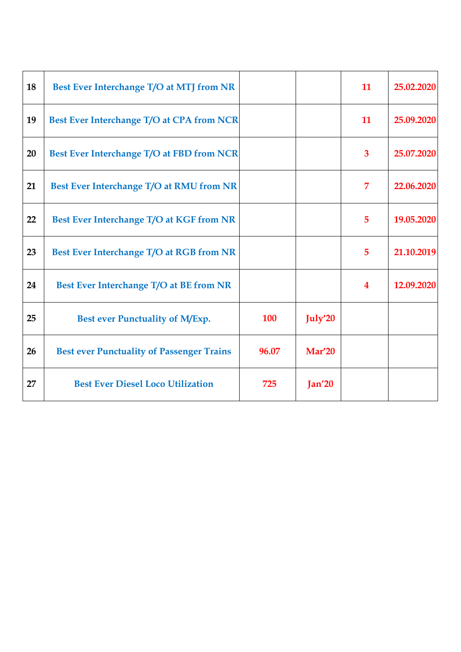| 18 | Best Ever Interchange T/O at MTJ from NR         |            |                   | 11               | 25.02.2020 |
|----|--------------------------------------------------|------------|-------------------|------------------|------------|
| 19 | Best Ever Interchange T/O at CPA from NCR        |            |                   | 11               | 25.09.2020 |
| 20 | Best Ever Interchange T/O at FBD from NCR        |            |                   | 3                | 25.07.2020 |
| 21 | Best Ever Interchange T/O at RMU from NR         |            |                   | 7                | 22.06.2020 |
| 22 | Best Ever Interchange T/O at KGF from NR         |            |                   | 5                | 19.05.2020 |
| 23 | Best Ever Interchange T/O at RGB from NR         |            |                   | 5                | 21.10.2019 |
| 24 | Best Ever Interchange T/O at BE from NR          |            |                   | $\boldsymbol{4}$ | 12.09.2020 |
| 25 | Best ever Punctuality of M/Exp.                  | <b>100</b> | July'20           |                  |            |
| 26 | <b>Best ever Punctuality of Passenger Trains</b> | 96.07      | Mar'20            |                  |            |
| 27 | <b>Best Ever Diesel Loco Utilization</b>         | 725        | Jan <sub>20</sub> |                  |            |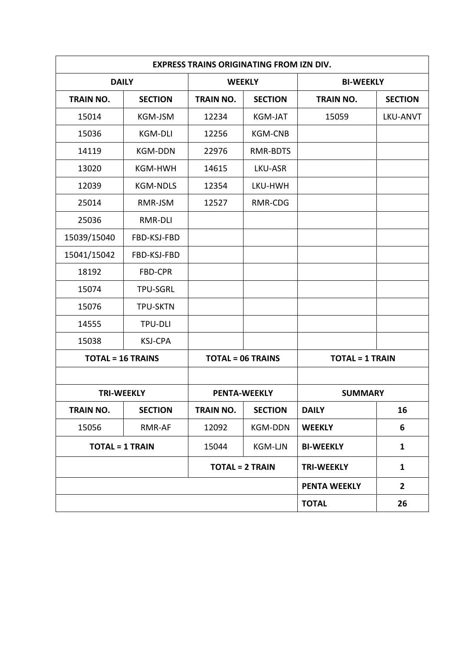| <b>EXPRESS TRAINS ORIGINATING FROM IZN DIV.</b> |                 |                          |                |                        |                 |  |  |
|-------------------------------------------------|-----------------|--------------------------|----------------|------------------------|-----------------|--|--|
| <b>DAILY</b>                                    |                 |                          | <b>WEEKLY</b>  | <b>BI-WEEKLY</b>       |                 |  |  |
| <b>TRAIN NO.</b>                                | <b>SECTION</b>  | <b>TRAIN NO.</b>         | <b>SECTION</b> | <b>TRAIN NO.</b>       | <b>SECTION</b>  |  |  |
| 15014                                           | <b>KGM-JSM</b>  | 12234                    | <b>KGM-JAT</b> | 15059                  | <b>LKU-ANVT</b> |  |  |
| 15036                                           | <b>KGM-DLI</b>  | 12256                    | <b>KGM-CNB</b> |                        |                 |  |  |
| 14119                                           | <b>KGM-DDN</b>  | 22976                    | RMR-BDTS       |                        |                 |  |  |
| 13020                                           | <b>KGM-HWH</b>  | 14615                    | LKU-ASR        |                        |                 |  |  |
| 12039                                           | <b>KGM-NDLS</b> | 12354                    | LKU-HWH        |                        |                 |  |  |
| 25014                                           | RMR-JSM         | 12527                    | RMR-CDG        |                        |                 |  |  |
| 25036                                           | RMR-DLI         |                          |                |                        |                 |  |  |
| 15039/15040                                     | FBD-KSJ-FBD     |                          |                |                        |                 |  |  |
| 15041/15042                                     | FBD-KSJ-FBD     |                          |                |                        |                 |  |  |
| 18192                                           | FBD-CPR         |                          |                |                        |                 |  |  |
| 15074                                           | <b>TPU-SGRL</b> |                          |                |                        |                 |  |  |
| 15076                                           | <b>TPU-SKTN</b> |                          |                |                        |                 |  |  |
| 14555                                           | <b>TPU-DLI</b>  |                          |                |                        |                 |  |  |
| 15038                                           | <b>KSJ-CPA</b>  |                          |                |                        |                 |  |  |
| <b>TOTAL = 16 TRAINS</b>                        |                 | <b>TOTAL = 06 TRAINS</b> |                | <b>TOTAL = 1 TRAIN</b> |                 |  |  |
|                                                 |                 |                          |                |                        |                 |  |  |
| <b>TRI-WEEKLY</b>                               |                 | <b>PENTA-WEEKLY</b>      |                | <b>SUMMARY</b>         |                 |  |  |
| TRAIN NO.                                       | <b>SECTION</b>  | TRAIN NO.                | <b>SECTION</b> | <b>DAILY</b>           | 16              |  |  |
| 15056                                           | RMR-AF          | 12092                    | <b>KGM-DDN</b> | <b>WEEKLY</b>          | 6               |  |  |
| <b>TOTAL = 1 TRAIN</b>                          |                 | 15044                    | KGM-LJN        | <b>BI-WEEKLY</b>       | $\mathbf{1}$    |  |  |
|                                                 |                 | <b>TOTAL = 2 TRAIN</b>   |                | <b>TRI-WEEKLY</b>      | $\mathbf{1}$    |  |  |
|                                                 |                 |                          |                | <b>PENTA WEEKLY</b>    | $\overline{2}$  |  |  |
|                                                 |                 |                          |                | <b>TOTAL</b>           | 26              |  |  |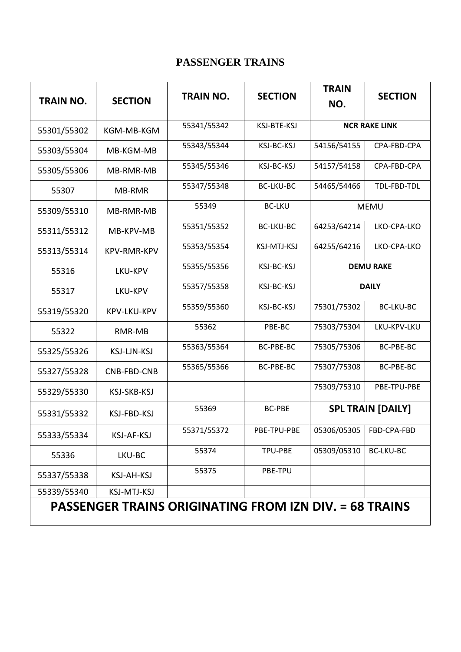#### **PASSENGER TRAINS**

| <b>TRAIN NO.</b>                                              | <b>SECTION</b>     | <b>TRAIN NO.</b> | <b>SECTION</b>     | <b>TRAIN</b><br>NO.      | <b>SECTION</b>   |  |
|---------------------------------------------------------------|--------------------|------------------|--------------------|--------------------------|------------------|--|
| 55301/55302                                                   | KGM-MB-KGM         | 55341/55342      | KSJ-BTE-KSJ        | <b>NCR RAKE LINK</b>     |                  |  |
| 55303/55304                                                   | MB-KGM-MB          | 55343/55344      | KSJ-BC-KSJ         | 54156/54155              | CPA-FBD-CPA      |  |
| 55305/55306                                                   | MB-RMR-MB          | 55345/55346      | KSJ-BC-KSJ         | 54157/54158              | CPA-FBD-CPA      |  |
| 55307                                                         | MB-RMR             | 55347/55348      | <b>BC-LKU-BC</b>   | 54465/54466              | TDL-FBD-TDL      |  |
| 55309/55310                                                   | MB-RMR-MB          | 55349            | <b>BC-LKU</b>      | <b>MEMU</b>              |                  |  |
| 55311/55312                                                   | MB-KPV-MB          | 55351/55352      | <b>BC-LKU-BC</b>   | 64253/64214              | LKO-CPA-LKO      |  |
| 55313/55314                                                   | KPV-RMR-KPV        | 55353/55354      | <b>KSJ-MTJ-KSJ</b> | 64255/64216              | LKO-CPA-LKO      |  |
| 55316                                                         | LKU-KPV            | 55355/55356      | KSJ-BC-KSJ         | <b>DEMU RAKE</b>         |                  |  |
| 55317                                                         | LKU-KPV            | 55357/55358      | KSJ-BC-KSJ         | <b>DAILY</b>             |                  |  |
| 55319/55320                                                   | KPV-LKU-KPV        | 55359/55360      | KSJ-BC-KSJ         | 75301/75302              | <b>BC-LKU-BC</b> |  |
| 55322                                                         | RMR-MB             | 55362            | PBE-BC             | 75303/75304              | LKU-KPV-LKU      |  |
| 55325/55326                                                   | KSJ-LJN-KSJ        | 55363/55364      | BC-PBE-BC          | 75305/75306              | <b>BC-PBE-BC</b> |  |
| 55327/55328                                                   | CNB-FBD-CNB        | 55365/55366      | BC-PBE-BC          | 75307/75308              | <b>BC-PBE-BC</b> |  |
| 55329/55330                                                   | KSJ-SKB-KSJ        |                  |                    | 75309/75310              | PBE-TPU-PBE      |  |
| 55331/55332                                                   | <b>KSJ-FBD-KSJ</b> | 55369            | <b>BC-PBE</b>      | <b>SPL TRAIN [DAILY]</b> |                  |  |
| 55333/55334                                                   | KSJ-AF-KSJ         | 55371/55372      | PBE-TPU-PBE        | 05306/05305              | FBD-CPA-FBD      |  |
| 55336                                                         | LKU-BC             | 55374            | TPU-PBE            | 05309/05310              | <b>BC-LKU-BC</b> |  |
| 55337/55338                                                   | <b>KSJ-AH-KSJ</b>  | 55375            | PBE-TPU            |                          |                  |  |
| 55339/55340                                                   | KSJ-MTJ-KSJ        |                  |                    |                          |                  |  |
| <b>PASSENGER TRAINS ORIGINATING FROM IZN DIV. = 68 TRAINS</b> |                    |                  |                    |                          |                  |  |